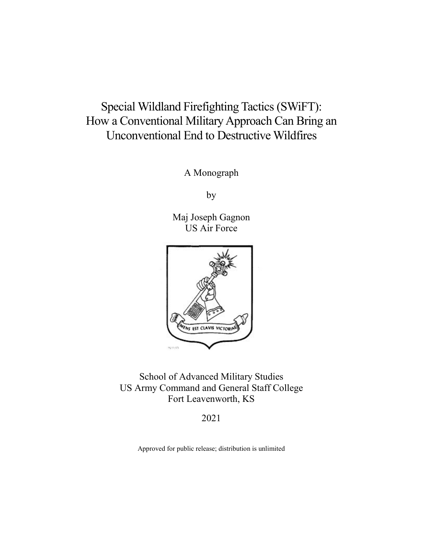# Special Wildland Firefighting Tactics (SWiFT): How a Conventional Military Approach Can Bring an Unconventional End to Destructive Wildfires

A Monograph

by

Maj Joseph Gagnon US Air Force



School of Advanced Military Studies US Army Command and General Staff College Fort Leavenworth, KS

2021

Approved for public release; distribution is unlimited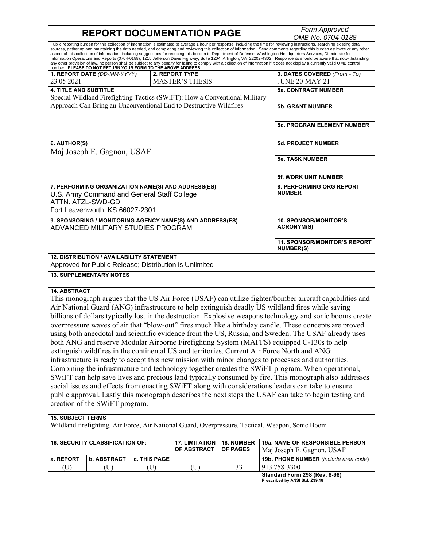**REPORT DOCUMENTATION PAGE** *Form Approved OMB No. 0704-0188* Public reporting burden for this collection of information is estimated to average 1 hour per response, including the time for reviewing instructions, searching existing data sources, gathering and maintaining the data needed, and completing and reviewing this collection of information. Send comments regarding this burden estimate or any other aspect of this collection of information, including suggestions for reducing this burden to Department of Defense, Washington Headquarters Services, Directorate for<br>Information Operations and Reports (0704-0188), 1215 Jeff any other provision of law, no person shall be subject to any penalty for failing to comply with a collection of information if it does not display a currently valid OMB control<br>number. PLEASE DO NOT RETURN YOUR FORM TO TH **1. REPORT DATE** *(DD-MM-YYYY)* 23 05 2021 **2. REPORT TYPE** MASTER'S THESIS **3. DATES COVERED** *(From - To)* JUNE 20-MAY 21 **4. TITLE AND SUBTITLE** Special Wildland Firefighting Tactics (SWiFT): How a Conventional Military Approach Can Bring an Unconventional End to Destructive Wildfires **5a. CONTRACT NUMBER 5b. GRANT NUMBER 5c. PROGRAM ELEMENT NUMBER 6. AUTHOR(S)** Maj Joseph E. Gagnon, USAF **5d. PROJECT NUMBER 5e. TASK NUMBER 5f. WORK UNIT NUMBER 7. PERFORMING ORGANIZATION NAME(S) AND ADDRESS(ES)** U.S. Army Command and General Staff College ATTN: ATZL-SWD-GD Fort Leavenworth, KS 66027-2301 **8. PERFORMING ORG REPORT NUMBER 9. SPONSORING / MONITORING AGENCY NAME(S) AND ADDRESS(ES)** ADVANCED MILITARY STUDIES PROGRAM **10. SPONSOR/MONITOR'S ACRONYM(S) 11. SPONSOR/MONITOR'S REPORT NUMBER(S) 12. DISTRIBUTION / AVAILABILITY STATEMENT** Approved for Public Release; Distribution is Unlimited **13. SUPPLEMENTARY NOTES 14. ABSTRACT** This monograph argues that the US Air Force (USAF) can utilize fighter/bomber aircraft capabilities and Air National Guard (ANG) infrastructure to help extinguish deadly US wildland fires while saving billions of dollars typically lost in the destruction. Explosive weapons technology and sonic booms create overpressure waves of air that "blow-out" fires much like a birthday candle. These concepts are proved using both anecdotal and scientific evidence from the US, Russia, and Sweden. The USAF already uses both ANG and reserve Modular Airborne Firefighting System (MAFFS) equipped C-130s to help extinguish wildfires in the continental US and territories. Current Air Force North and ANG infrastructure is ready to accept this new mission with minor changes to processes and authorities. Combining the infrastructure and technology together creates the SWiFT program. When operational, SWiFT can help save lives and precious land typically consumed by fire. This monograph also addresses social issues and effects from enacting SWiFT along with considerations leaders can take to ensure public approval. Lastly this monograph describes the next steps the USAF can take to begin testing and creation of the SWiFT program. **15. SUBJECT TERMS** Wildland firefighting, Air Force, Air National Guard, Overpressure, Tactical, Weapon, Sonic Boom **16. SECURITY CLASSIFICATION OF: 17. LIMITATION 18. NUMBER 19a. NAME OF RESPONSIBLE PERSON**

| <b>16. SECURITY CLASSIFICATION OF:</b> |                    |                       | 17. LIMITATION   18. NUMBER<br>OF ABSTRACT   OF PAGES | <b>198. NAME OF RESPONSIBLE PERSON</b><br>Mai Joseph E. Gagnon, USAF                                              |
|----------------------------------------|--------------------|-----------------------|-------------------------------------------------------|-------------------------------------------------------------------------------------------------------------------|
| a. REPORT                              | <b>b. ABSTRACT</b> | <b>c. THIS PAGE I</b> |                                                       | <b>19b. PHONE NUMBER</b> (include area code)                                                                      |
| (U)                                    |                    |                       | U)                                                    | 913 758-3300                                                                                                      |
|                                        |                    |                       |                                                       | $P_{\text{total}} = P_{\text{total}} - P_{\text{total}} - P_{\text{total}} - P_{\text{total}} - P_{\text{total}}$ |

**Standard Form 298 (Rev. 8-98) Prescribed by ANSI Std. Z39.18**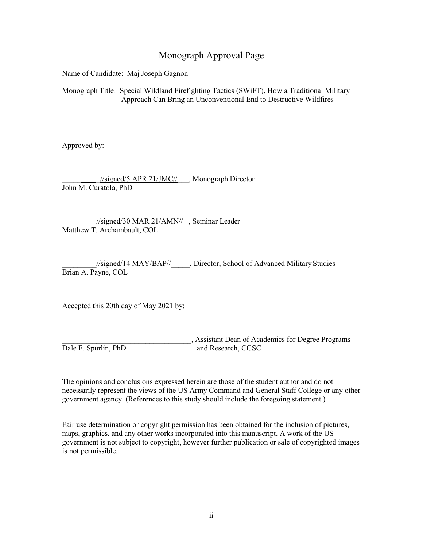## Monograph Approval Page

Name of Candidate: Maj Joseph Gagnon

Monograph Title: Special Wildland Firefighting Tactics (SWiFT), How a Traditional Military Approach Can Bring an Unconventional End to Destructive Wildfires

Approved by:

 $\frac{1}{\text{signed}}$ /5 APR 21/JMC//\_\_\_, Monograph Director John M. Curatola, PhD

//signed/30 MAR 21/AMN// , Seminar Leader Matthew T. Archambault, COL

\_\_\_\_\_\_\_\_\_//signed/14 MAY/BAP//\_\_\_\_\_, Director, School of Advanced Military Studies Brian A. Payne, COL

Accepted this 20th day of May 2021 by:

\_\_\_\_\_\_\_\_\_\_\_\_\_\_\_\_\_\_\_\_\_\_\_\_\_\_\_\_\_\_\_\_\_\_, Assistant Dean of Academics for Degree Programs Dale F. Spurlin, PhD and Research, CGSC

The opinions and conclusions expressed herein are those of the student author and do not necessarily represent the views of the US Army Command and General Staff College or any other government agency. (References to this study should include the foregoing statement.)

Fair use determination or copyright permission has been obtained for the inclusion of pictures, maps, graphics, and any other works incorporated into this manuscript. A work of the US government is not subject to copyright, however further publication or sale of copyrighted images is not permissible.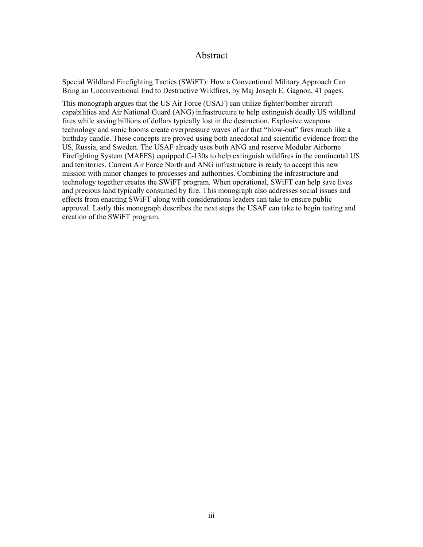### Abstract

<span id="page-3-0"></span>Special Wildland Firefighting Tactics (SWiFT): How a Conventional Military Approach Can Bring an Unconventional End to Destructive Wildfires, by Maj Joseph E. Gagnon, 41 pages.

This monograph argues that the US Air Force (USAF) can utilize fighter/bomber aircraft capabilities and Air National Guard (ANG) infrastructure to help extinguish deadly US wildland fires while saving billions of dollars typically lost in the destruction. Explosive weapons technology and sonic booms create overpressure waves of air that "blow-out" fires much like a birthday candle. These concepts are proved using both anecdotal and scientific evidence from the US, Russia, and Sweden. The USAF already uses both ANG and reserve Modular Airborne Firefighting System (MAFFS) equipped C-130s to help extinguish wildfires in the continental US and territories. Current Air Force North and ANG infrastructure is ready to accept this new mission with minor changes to processes and authorities. Combining the infrastructure and technology together creates the SWiFT program. When operational, SWiFT can help save lives and precious land typically consumed by fire. This monograph also addresses social issues and effects from enacting SWiFT along with considerations leaders can take to ensure public approval. Lastly this monograph describes the next steps the USAF can take to begin testing and creation of the SWiFT program.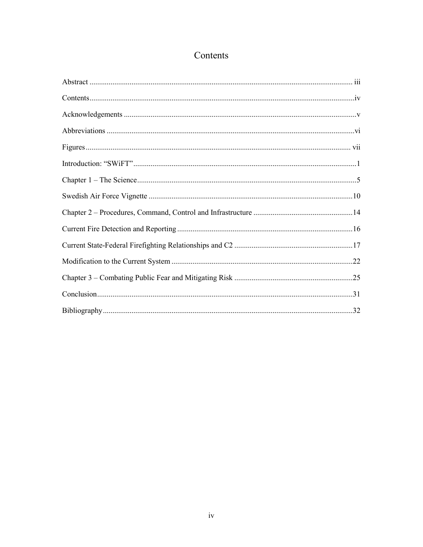## Contents

<span id="page-4-0"></span>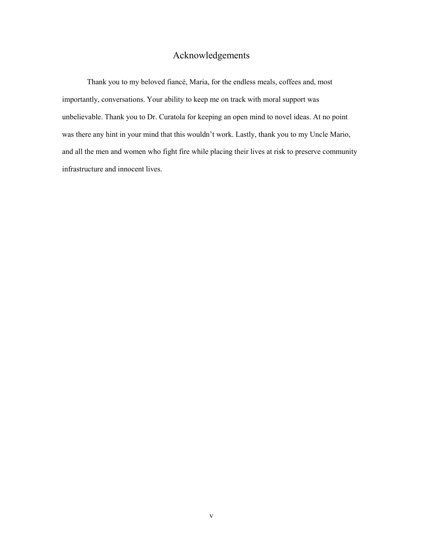## Acknowledgements

<span id="page-5-0"></span>Thank you to my beloved fiancé, Maria, for the endless meals, coffees and, most importantly, conversations. Your ability to keep me on track with moral support was unbelievable. Thank you to Dr. Curatola for keeping an open mind to novel ideas. At no point was there any hint in your mind that this wouldn't work. Lastly, thank you to my Uncle Mario, and all the men and women who fight fire while placing their lives at risk to preserve community infrastructure and innocent lives.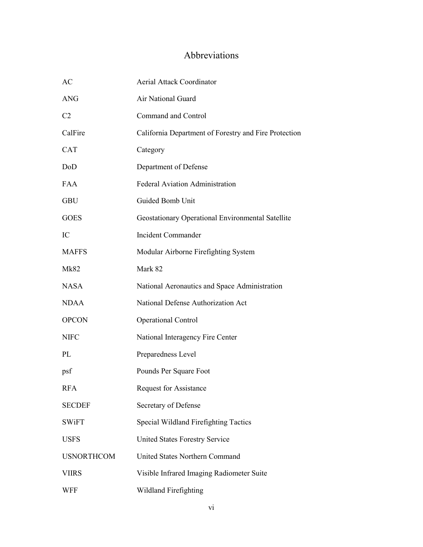## Abbreviations

<span id="page-6-0"></span>

| AC                | <b>Aerial Attack Coordinator</b>                      |
|-------------------|-------------------------------------------------------|
| <b>ANG</b>        | Air National Guard                                    |
| C <sub>2</sub>    | Command and Control                                   |
| CalFire           | California Department of Forestry and Fire Protection |
| <b>CAT</b>        | Category                                              |
| DoD               | Department of Defense                                 |
| <b>FAA</b>        | <b>Federal Aviation Administration</b>                |
| <b>GBU</b>        | Guided Bomb Unit                                      |
| <b>GOES</b>       | Geostationary Operational Environmental Satellite     |
| IC                | Incident Commander                                    |
| <b>MAFFS</b>      | Modular Airborne Firefighting System                  |
| <b>Mk82</b>       | Mark 82                                               |
| <b>NASA</b>       | National Aeronautics and Space Administration         |
| <b>NDAA</b>       | National Defense Authorization Act                    |
| <b>OPCON</b>      | <b>Operational Control</b>                            |
| <b>NIFC</b>       | National Interagency Fire Center                      |
| PL                | Preparedness Level                                    |
| psf               | Pounds Per Square Foot                                |
| <b>RFA</b>        | <b>Request for Assistance</b>                         |
| <b>SECDEF</b>     | Secretary of Defense                                  |
| <b>SWiFT</b>      | Special Wildland Firefighting Tactics                 |
| <b>USFS</b>       | <b>United States Forestry Service</b>                 |
| <b>USNORTHCOM</b> | <b>United States Northern Command</b>                 |
| <b>VIIRS</b>      | Visible Infrared Imaging Radiometer Suite             |
| <b>WFF</b>        | Wildland Firefighting                                 |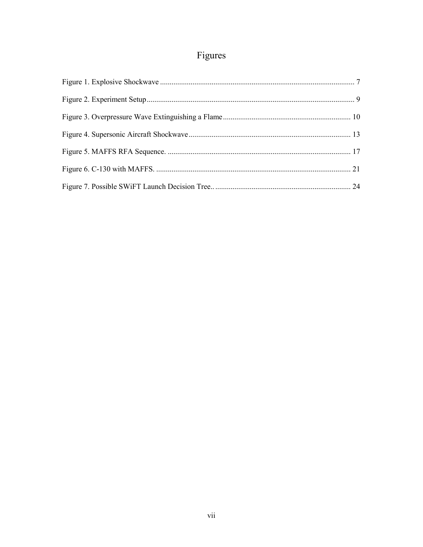# Figures

<span id="page-7-0"></span>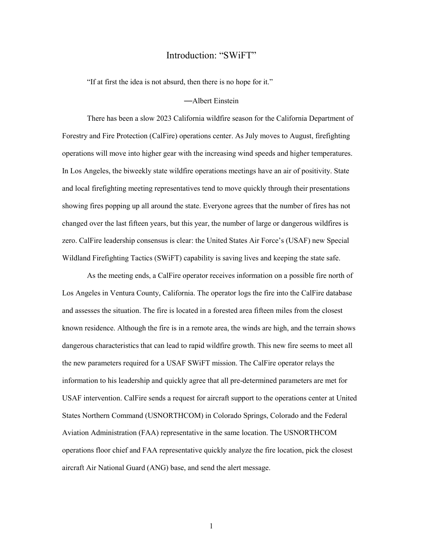#### Introduction: "SWiFT"

<span id="page-8-0"></span>"If at first the idea is not absurd, then there is no hope for it."

#### —Albert Einstein

There has been a slow 2023 California wildfire season for the California Department of Forestry and Fire Protection (CalFire) operations center. As July moves to August, firefighting operations will move into higher gear with the increasing wind speeds and higher temperatures. In Los Angeles, the biweekly state wildfire operations meetings have an air of positivity. State and local firefighting meeting representatives tend to move quickly through their presentations showing fires popping up all around the state. Everyone agrees that the number of fires has not changed over the last fifteen years, but this year, the number of large or dangerous wildfires is zero. CalFire leadership consensus is clear: the United States Air Force's (USAF) new Special Wildland Firefighting Tactics (SWiFT) capability is saving lives and keeping the state safe.

As the meeting ends, a CalFire operator receives information on a possible fire north of Los Angeles in Ventura County, California. The operator logs the fire into the CalFire database and assesses the situation. The fire is located in a forested area fifteen miles from the closest known residence. Although the fire is in a remote area, the winds are high, and the terrain shows dangerous characteristics that can lead to rapid wildfire growth. This new fire seems to meet all the new parameters required for a USAF SWiFT mission. The CalFire operator relays the information to his leadership and quickly agree that all pre-determined parameters are met for USAF intervention. CalFire sends a request for aircraft support to the operations center at United States Northern Command (USNORTHCOM) in Colorado Springs, Colorado and the Federal Aviation Administration (FAA) representative in the same location. The USNORTHCOM operations floor chief and FAA representative quickly analyze the fire location, pick the closest aircraft Air National Guard (ANG) base, and send the alert message.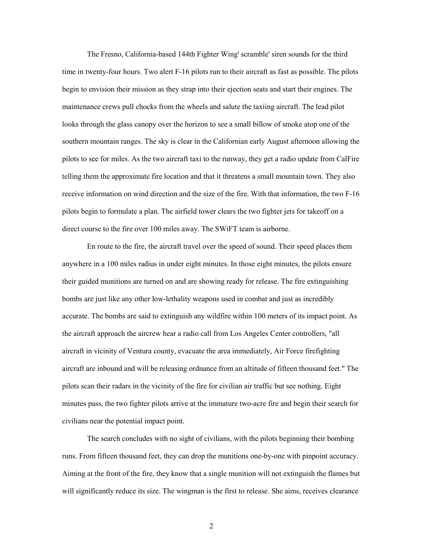The Fresno, California-based 144th Fighter Wing' scramble' siren sounds for the third time in twenty-four hours. Two alert F-16 pilots run to their aircraft as fast as possible. The pilots begin to envision their mission as they strap into their ejection seats and start their engines. The maintenance crews pull chocks from the wheels and salute the taxiing aircraft. The lead pilot looks through the glass canopy over the horizon to see a small billow of smoke atop one of the southern mountain ranges. The sky is clear in the Californian early August afternoon allowing the pilots to see for miles. As the two aircraft taxi to the runway, they get a radio update from CalFire telling them the approximate fire location and that it threatens a small mountain town. They also receive information on wind direction and the size of the fire. With that information, the two F-16 pilots begin to formulate a plan. The airfield tower clears the two fighter jets for takeoff on a direct course to the fire over 100 miles away. The SWiFT team is airborne.

En route to the fire, the aircraft travel over the speed of sound. Their speed places them anywhere in a 100 miles radius in under eight minutes. In those eight minutes, the pilots ensure their guided munitions are turned on and are showing ready for release. The fire extinguishing bombs are just like any other low-lethality weapons used in combat and just as incredibly accurate. The bombs are said to extinguish any wildfire within 100 meters of its impact point. As the aircraft approach the aircrew hear a radio call from Los Angeles Center controllers, "all aircraft in vicinity of Ventura county, evacuate the area immediately, Air Force firefighting aircraft are inbound and will be releasing ordnance from an altitude of fifteen thousand feet." The pilots scan their radars in the vicinity of the fire for civilian air traffic but see nothing. Eight minutes pass, the two fighter pilots arrive at the immature two-acre fire and begin their search for civilians near the potential impact point.

 The search concludes with no sight of civilians, with the pilots beginning their bombing runs. From fifteen thousand feet, they can drop the munitions one-by-one with pinpoint accuracy. Aiming at the front of the fire, they know that a single munition will not extinguish the flames but will significantly reduce its size. The wingman is the first to release. She aims, receives clearance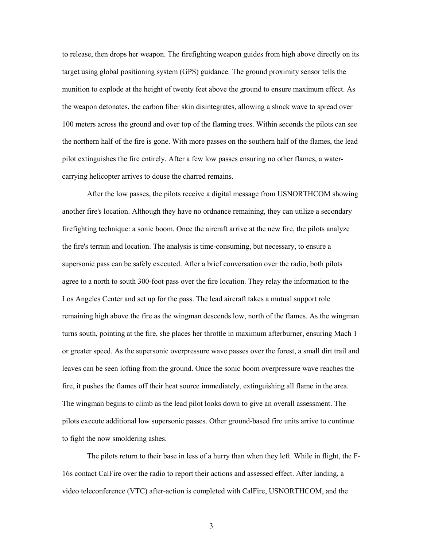to release, then drops her weapon. The firefighting weapon guides from high above directly on its target using global positioning system (GPS) guidance. The ground proximity sensor tells the munition to explode at the height of twenty feet above the ground to ensure maximum effect. As the weapon detonates, the carbon fiber skin disintegrates, allowing a shock wave to spread over 100 meters across the ground and over top of the flaming trees. Within seconds the pilots can see the northern half of the fire is gone. With more passes on the southern half of the flames, the lead pilot extinguishes the fire entirely. After a few low passes ensuring no other flames, a watercarrying helicopter arrives to douse the charred remains.

After the low passes, the pilots receive a digital message from USNORTHCOM showing another fire's location. Although they have no ordnance remaining, they can utilize a secondary firefighting technique: a sonic boom. Once the aircraft arrive at the new fire, the pilots analyze the fire's terrain and location. The analysis is time-consuming, but necessary, to ensure a supersonic pass can be safely executed. After a brief conversation over the radio, both pilots agree to a north to south 300-foot pass over the fire location. They relay the information to the Los Angeles Center and set up for the pass. The lead aircraft takes a mutual support role remaining high above the fire as the wingman descends low, north of the flames. As the wingman turns south, pointing at the fire, she places her throttle in maximum afterburner, ensuring Mach 1 or greater speed. As the supersonic overpressure wave passes over the forest, a small dirt trail and leaves can be seen lofting from the ground. Once the sonic boom overpressure wave reaches the fire, it pushes the flames off their heat source immediately, extinguishing all flame in the area. The wingman begins to climb as the lead pilot looks down to give an overall assessment. The pilots execute additional low supersonic passes. Other ground-based fire units arrive to continue to fight the now smoldering ashes.

 The pilots return to their base in less of a hurry than when they left. While in flight, the F-16s contact CalFire over the radio to report their actions and assessed effect. After landing, a video teleconference (VTC) after-action is completed with CalFire, USNORTHCOM, and the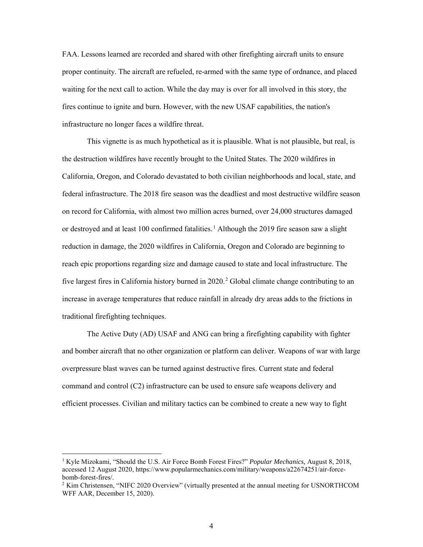FAA. Lessons learned are recorded and shared with other firefighting aircraft units to ensure proper continuity. The aircraft are refueled, re-armed with the same type of ordnance, and placed waiting for the next call to action. While the day may is over for all involved in this story, the fires continue to ignite and burn. However, with the new USAF capabilities, the nation's infrastructure no longer faces a wildfire threat.

 This vignette is as much hypothetical as it is plausible. What is not plausible, but real, is the destruction wildfires have recently brought to the United States. The 2020 wildfires in California, Oregon, and Colorado devastated to both civilian neighborhoods and local, state, and federal infrastructure. The 2018 fire season was the deadliest and most destructive wildfire season on record for California, with almost two million acres burned, over 24,000 structures damaged or destroyed and at least 100 confirmed fatalities.<sup>1</sup> Although the 2019 fire season saw a slight reduction in damage, the 2020 wildfires in California, Oregon and Colorado are beginning to reach epic proportions regarding size and damage caused to state and local infrastructure. The five largest fires in California history burned in 2020.<sup>2</sup> Global climate change contributing to an increase in average temperatures that reduce rainfall in already dry areas adds to the frictions in traditional firefighting techniques.

The Active Duty (AD) USAF and ANG can bring a firefighting capability with fighter and bomber aircraft that no other organization or platform can deliver. Weapons of war with large overpressure blast waves can be turned against destructive fires. Current state and federal command and control (C2) infrastructure can be used to ensure safe weapons delivery and efficient processes. Civilian and military tactics can be combined to create a new way to fight

<sup>1</sup> Kyle Mizokami, "Should the U.S. Air Force Bomb Forest Fires?" *Popular Mechanics,* August 8, 2018, accessed 12 August 2020, https://www.popularmechanics.com/military/weapons/a22674251/air-forcebomb-forest-fires/.

<sup>&</sup>lt;sup>2</sup> Kim Christensen, "NIFC 2020 Overview" (virtually presented at the annual meeting for USNORTHCOM WFF AAR, December 15, 2020).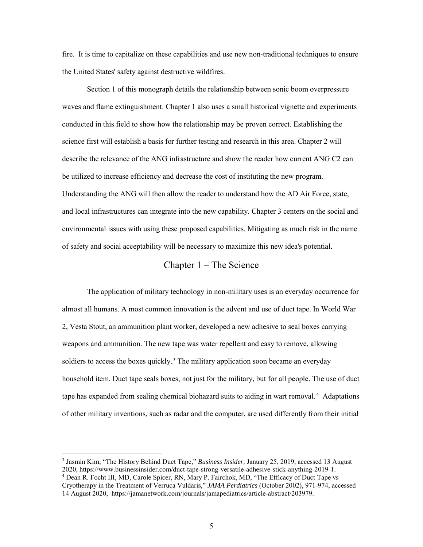fire. It is time to capitalize on these capabilities and use new non-traditional techniques to ensure the United States' safety against destructive wildfires.

Section 1 of this monograph details the relationship between sonic boom overpressure waves and flame extinguishment. Chapter 1 also uses a small historical vignette and experiments conducted in this field to show how the relationship may be proven correct. Establishing the science first will establish a basis for further testing and research in this area. Chapter 2 will describe the relevance of the ANG infrastructure and show the reader how current ANG C2 can be utilized to increase efficiency and decrease the cost of instituting the new program. Understanding the ANG will then allow the reader to understand how the AD Air Force, state, and local infrastructures can integrate into the new capability. Chapter 3 centers on the social and environmental issues with using these proposed capabilities. Mitigating as much risk in the name of safety and social acceptability will be necessary to maximize this new idea's potential.

#### Chapter 1 – The Science

<span id="page-12-0"></span>The application of military technology in non-military uses is an everyday occurrence for almost all humans. A most common innovation is the advent and use of duct tape. In World War 2, Vesta Stout, an ammunition plant worker, developed a new adhesive to seal boxes carrying weapons and ammunition. The new tape was water repellent and easy to remove, allowing soldiers to access the boxes quickly.<sup>3</sup> The military application soon became an everyday household item. Duct tape seals boxes, not just for the military, but for all people. The use of duct tape has expanded from sealing chemical biohazard suits to aiding in wart removal.<sup>4</sup> Adaptations of other military inventions, such as radar and the computer, are used differently from their initial

<sup>3</sup> Jasmin Kim, "The History Behind Duct Tape," *Business Insider,* January 25, 2019, accessed 13 August 2020, https://www.businessinsider.com/duct-tape-strong-versatile-adhesive-stick-anything-2019-1. 4 Dean R. Focht III, MD, Carole Spicer, RN, Mary P. Fairchok, MD, "The Efficacy of Duct Tape vs

Cryotherapy in the Treatment of Verruca Vuldaris," *JAMA Perdiatrics* (October 2002), 971-974, accessed 14 August 2020, https://jamanetwork.com/journals/jamapediatrics/article-abstract/203979.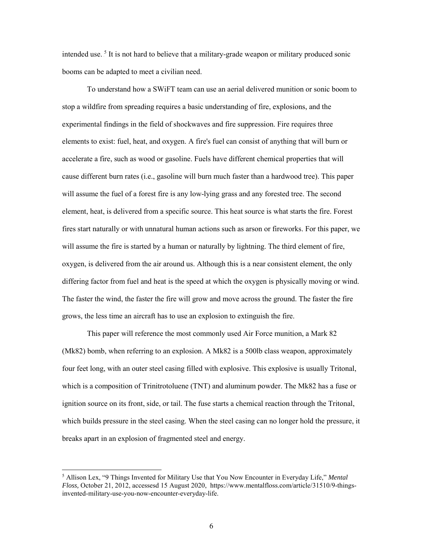intended use.<sup>5</sup> It is not hard to believe that a military-grade weapon or military produced sonic booms can be adapted to meet a civilian need.

To understand how a SWiFT team can use an aerial delivered munition or sonic boom to stop a wildfire from spreading requires a basic understanding of fire, explosions, and the experimental findings in the field of shockwaves and fire suppression. Fire requires three elements to exist: fuel, heat, and oxygen. A fire's fuel can consist of anything that will burn or accelerate a fire, such as wood or gasoline. Fuels have different chemical properties that will cause different burn rates (i.e., gasoline will burn much faster than a hardwood tree). This paper will assume the fuel of a forest fire is any low-lying grass and any forested tree. The second element, heat, is delivered from a specific source. This heat source is what starts the fire. Forest fires start naturally or with unnatural human actions such as arson or fireworks. For this paper, we will assume the fire is started by a human or naturally by lightning. The third element of fire, oxygen, is delivered from the air around us. Although this is a near consistent element, the only differing factor from fuel and heat is the speed at which the oxygen is physically moving or wind. The faster the wind, the faster the fire will grow and move across the ground. The faster the fire grows, the less time an aircraft has to use an explosion to extinguish the fire.

This paper will reference the most commonly used Air Force munition, a Mark 82 (Mk82) bomb, when referring to an explosion. A Mk82 is a 500lb class weapon, approximately four feet long, with an outer steel casing filled with explosive. This explosive is usually Tritonal, which is a composition of Trinitrotoluene (TNT) and aluminum powder. The Mk82 has a fuse or ignition source on its front, side, or tail. The fuse starts a chemical reaction through the Tritonal, which builds pressure in the steel casing. When the steel casing can no longer hold the pressure, it breaks apart in an explosion of fragmented steel and energy.

<sup>5</sup> Allison Lex, "9 Things Invented for Military Use that You Now Encounter in Everyday Life," *Mental Floss,* October 21, 2012, accessesd 15 August 2020, https://www.mentalfloss.com/article/31510/9-thingsinvented-military-use-you-now-encounter-everyday-life.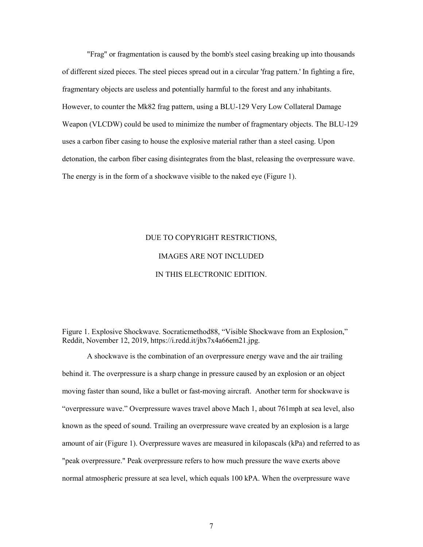"Frag" or fragmentation is caused by the bomb's steel casing breaking up into thousands of different sized pieces. The steel pieces spread out in a circular 'frag pattern.' In fighting a fire, fragmentary objects are useless and potentially harmful to the forest and any inhabitants. However, to counter the Mk82 frag pattern, using a BLU-129 Very Low Collateral Damage Weapon (VLCDW) could be used to minimize the number of fragmentary objects. The BLU-129 uses a carbon fiber casing to house the explosive material rather than a steel casing. Upon detonation, the carbon fiber casing disintegrates from the blast, releasing the overpressure wave. The energy is in the form of a shockwave visible to the naked eye (Figure 1).

# DUE TO COPYRIGHT RESTRICTIONS, IMAGES ARE NOT INCLUDED IN THIS ELECTRONIC EDITION.

<span id="page-14-0"></span>Figure 1. Explosive Shockwave. Socraticmethod88, "Visible Shockwave from an Explosion," Reddit, November 12, 2019, https://i.redd.it/jbx7x4a66em21.jpg.

A shockwave is the combination of an overpressure energy wave and the air trailing behind it. The overpressure is a sharp change in pressure caused by an explosion or an object moving faster than sound, like a bullet or fast-moving aircraft. Another term for shockwave is "overpressure wave." Overpressure waves travel above Mach 1, about 761mph at sea level, also known as the speed of sound. Trailing an overpressure wave created by an explosion is a large amount of air (Figure 1). Overpressure waves are measured in kilopascals (kPa) and referred to as "peak overpressure." Peak overpressure refers to how much pressure the wave exerts above normal atmospheric pressure at sea level, which equals 100 kPA. When the overpressure wave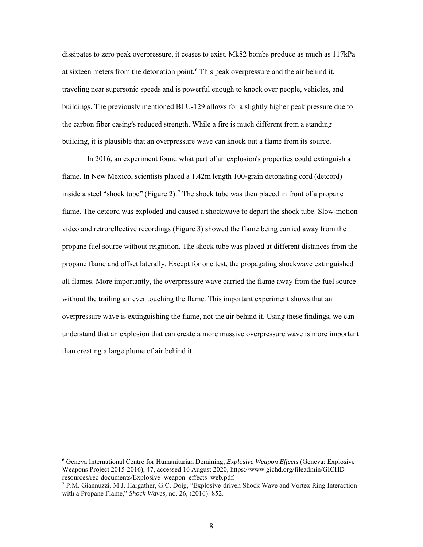dissipates to zero peak overpressure, it ceases to exist. Mk82 bombs produce as much as 117kPa at sixteen meters from the detonation point.<sup>6</sup> This peak overpressure and the air behind it, traveling near supersonic speeds and is powerful enough to knock over people, vehicles, and buildings. The previously mentioned BLU-129 allows for a slightly higher peak pressure due to the carbon fiber casing's reduced strength. While a fire is much different from a standing building, it is plausible that an overpressure wave can knock out a flame from its source.

In 2016, an experiment found what part of an explosion's properties could extinguish a flame. In New Mexico, scientists placed a 1.42m length 100-grain detonating cord (detcord) inside a steel "shock tube" (Figure 2).<sup>7</sup> The shock tube was then placed in front of a propane flame. The detcord was exploded and caused a shockwave to depart the shock tube. Slow-motion video and retroreflective recordings (Figure 3) showed the flame being carried away from the propane fuel source without reignition. The shock tube was placed at different distances from the propane flame and offset laterally. Except for one test, the propagating shockwave extinguished all flames. More importantly, the overpressure wave carried the flame away from the fuel source without the trailing air ever touching the flame. This important experiment shows that an overpressure wave is extinguishing the flame, not the air behind it. Using these findings, we can understand that an explosion that can create a more massive overpressure wave is more important than creating a large plume of air behind it.

<sup>6</sup> Geneva International Centre for Humanitarian Demining, *Explosive Weapon Effects* (Geneva: Explosive Weapons Project 2015-2016), 47, accessed 16 August 2020, https://www.gichd.org/fileadmin/GICHDresources/rec-documents/Explosive\_weapon\_effects\_web.pdf.<br><sup>7</sup> P.M. Giannuzzi, M.J. Hargather, G.C. Doig, "Explosive-driven Shock Wave and Vortex Ring Interaction

with a Propane Flame," *Shock Waves,* no. 26, (2016): 852.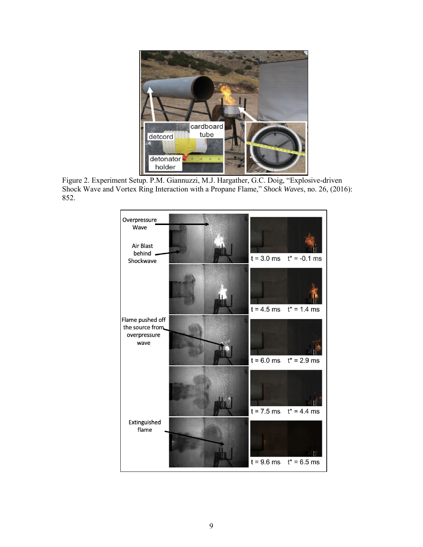

<span id="page-16-0"></span>Figure 2. Experiment Setup. P.M. Giannuzzi, M.J. Hargather, G.C. Doig, "Explosive-driven Shock Wave and Vortex Ring Interaction with a Propane Flame," *Shock Waves*, no. 26, (2016): 852.

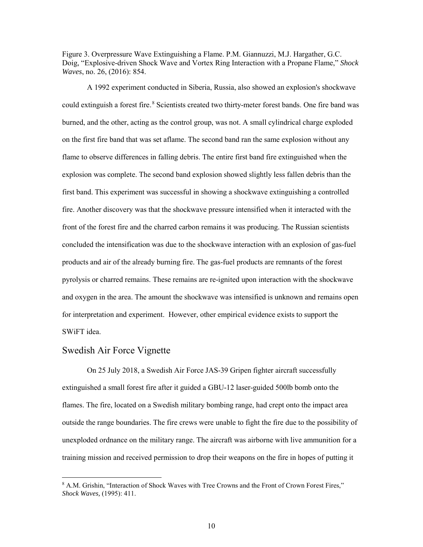<span id="page-17-1"></span>Figure 3. Overpressure Wave Extinguishing a Flame. P.M. Giannuzzi, M.J. Hargather, G.C. Doig, "Explosive-driven Shock Wave and Vortex Ring Interaction with a Propane Flame," *Shock Waves*, no. 26, (2016): 854.

A 1992 experiment conducted in Siberia, Russia, also showed an explosion's shockwave could extinguish a forest fire.<sup>8</sup> Scientists created two thirty-meter forest bands. One fire band was burned, and the other, acting as the control group, was not. A small cylindrical charge exploded on the first fire band that was set aflame. The second band ran the same explosion without any flame to observe differences in falling debris. The entire first band fire extinguished when the explosion was complete. The second band explosion showed slightly less fallen debris than the first band. This experiment was successful in showing a shockwave extinguishing a controlled fire. Another discovery was that the shockwave pressure intensified when it interacted with the front of the forest fire and the charred carbon remains it was producing. The Russian scientists concluded the intensification was due to the shockwave interaction with an explosion of gas-fuel products and air of the already burning fire. The gas-fuel products are remnants of the forest pyrolysis or charred remains. These remains are re-ignited upon interaction with the shockwave and oxygen in the area. The amount the shockwave was intensified is unknown and remains open for interpretation and experiment. However, other empirical evidence exists to support the SWiFT idea.

#### <span id="page-17-0"></span>Swedish Air Force Vignette

 $\overline{a}$ 

On 25 July 2018, a Swedish Air Force JAS-39 Gripen fighter aircraft successfully extinguished a small forest fire after it guided a GBU-12 laser-guided 500lb bomb onto the flames. The fire, located on a Swedish military bombing range, had crept onto the impact area outside the range boundaries. The fire crews were unable to fight the fire due to the possibility of unexploded ordnance on the military range. The aircraft was airborne with live ammunition for a training mission and received permission to drop their weapons on the fire in hopes of putting it

<sup>8</sup> A.M. Grishin, "Interaction of Shock Waves with Tree Crowns and the Front of Crown Forest Fires," *Shock Waves,* (1995): 411.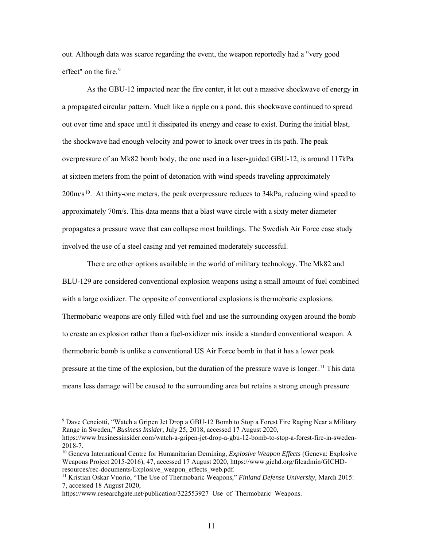out. Although data was scarce regarding the event, the weapon reportedly had a "very good effect" on the fire.<sup>9</sup>

As the GBU-12 impacted near the fire center, it let out a massive shockwave of energy in a propagated circular pattern. Much like a ripple on a pond, this shockwave continued to spread out over time and space until it dissipated its energy and cease to exist. During the initial blast, the shockwave had enough velocity and power to knock over trees in its path. The peak overpressure of an Mk82 bomb body, the one used in a laser-guided GBU-12, is around 117kPa at sixteen meters from the point of detonation with wind speeds traveling approximately  $200 \text{m/s}^{10}$ . At thirty-one meters, the peak overpressure reduces to 34kPa, reducing wind speed to approximately 70m/s. This data means that a blast wave circle with a sixty meter diameter propagates a pressure wave that can collapse most buildings. The Swedish Air Force case study involved the use of a steel casing and yet remained moderately successful.

There are other options available in the world of military technology. The Mk82 and BLU-129 are considered conventional explosion weapons using a small amount of fuel combined with a large oxidizer. The opposite of conventional explosions is thermobaric explosions. Thermobaric weapons are only filled with fuel and use the surrounding oxygen around the bomb to create an explosion rather than a fuel-oxidizer mix inside a standard conventional weapon. A thermobaric bomb is unlike a conventional US Air Force bomb in that it has a lower peak pressure at the time of the explosion, but the duration of the pressure wave is longer.<sup>11</sup> This data means less damage will be caused to the surrounding area but retains a strong enough pressure

<sup>&</sup>lt;sup>9</sup> Dave Cenciotti, "Watch a Gripen Jet Drop a GBU-12 Bomb to Stop a Forest Fire Raging Near a Military Range in Sweden," *Business Insider,* July 25, 2018, accessed 17 August 2020, https://www.businessinsider.com/watch-a-gripen-jet-drop-a-gbu-12-bomb-to-stop-a-forest-fire-in-sweden-2018-7.

<sup>10</sup> Geneva International Centre for Humanitarian Demining, *Explosive Weapon Effects* (Geneva: Explosive Weapons Project 2015-2016), 47, accessed 17 August 2020, https://www.gichd.org/fileadmin/GICHDresources/rec-documents/Explosive\_weapon\_effects\_web.pdf.

<sup>11</sup> Kristian Oskar Vuorio, "The Use of Thermobaric Weapons," *Finland Defense University,* March 2015: 7, accessed 18 August 2020,

https://www.researchgate.net/publication/322553927 Use of Thermobaric Weapons.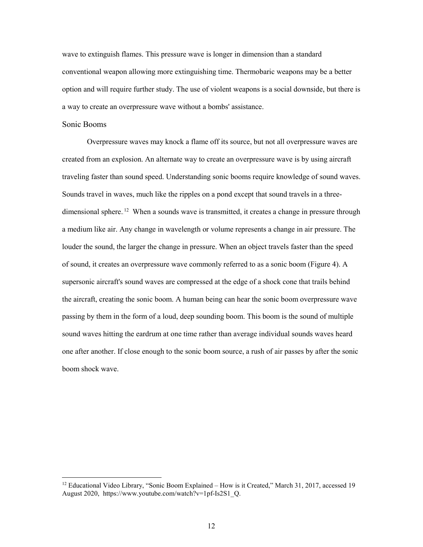wave to extinguish flames. This pressure wave is longer in dimension than a standard conventional weapon allowing more extinguishing time. Thermobaric weapons may be a better option and will require further study. The use of violent weapons is a social downside, but there is a way to create an overpressure wave without a bombs' assistance.

#### Sonic Booms

 $\overline{a}$ 

Overpressure waves may knock a flame off its source, but not all overpressure waves are created from an explosion. An alternate way to create an overpressure wave is by using aircraft traveling faster than sound speed. Understanding sonic booms require knowledge of sound waves. Sounds travel in waves, much like the ripples on a pond except that sound travels in a threedimensional sphere.<sup>12</sup> When a sounds wave is transmitted, it creates a change in pressure through a medium like air. Any change in wavelength or volume represents a change in air pressure. The louder the sound, the larger the change in pressure. When an object travels faster than the speed of sound, it creates an overpressure wave commonly referred to as a sonic boom (Figure 4). A supersonic aircraft's sound waves are compressed at the edge of a shock cone that trails behind the aircraft, creating the sonic boom. A human being can hear the sonic boom overpressure wave passing by them in the form of a loud, deep sounding boom. This boom is the sound of multiple sound waves hitting the eardrum at one time rather than average individual sounds waves heard one after another. If close enough to the sonic boom source, a rush of air passes by after the sonic boom shock wave.

<sup>&</sup>lt;sup>12</sup> Educational Video Library, "Sonic Boom Explained – How is it Created," March 31, 2017, accessed 19 August 2020, https://www.youtube.com/watch?v=1pf-Is2S1\_Q.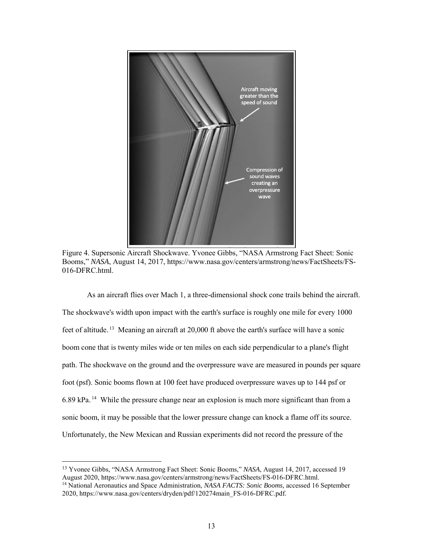

<span id="page-20-0"></span>Figure 4. Supersonic Aircraft Shockwave. Yvonee Gibbs, "NASA Armstrong Fact Sheet: Sonic Booms," *NASA*, August 14, 2017, https://www.nasa.gov/centers/armstrong/news/FactSheets/FS-016-DFRC.html.

As an aircraft flies over Mach 1, a three-dimensional shock cone trails behind the aircraft. The shockwave's width upon impact with the earth's surface is roughly one mile for every 1000 feet of altitude.<sup>13</sup> Meaning an aircraft at 20,000 ft above the earth's surface will have a sonic boom cone that is twenty miles wide or ten miles on each side perpendicular to a plane's flight path. The shockwave on the ground and the overpressure wave are measured in pounds per square foot (psf). Sonic booms flown at 100 feet have produced overpressure waves up to 144 psf or  $6.89$  kPa.<sup>14</sup> While the pressure change near an explosion is much more significant than from a sonic boom, it may be possible that the lower pressure change can knock a flame off its source. Unfortunately, the New Mexican and Russian experiments did not record the pressure of the

<sup>13</sup> Yvonee Gibbs, "NASA Armstrong Fact Sheet: Sonic Booms," *NASA*, August 14, 2017, accessed 19 August 2020, https://www.nasa.gov/centers/armstrong/news/FactSheets/FS-016-DFRC.html. <sup>14</sup> National Aeronautics and Space Administration, *NASA FACTS: Sonic Booms,* accessed 16 September 2020, https://www.nasa.gov/centers/dryden/pdf/120274main\_FS-016-DFRC.pdf.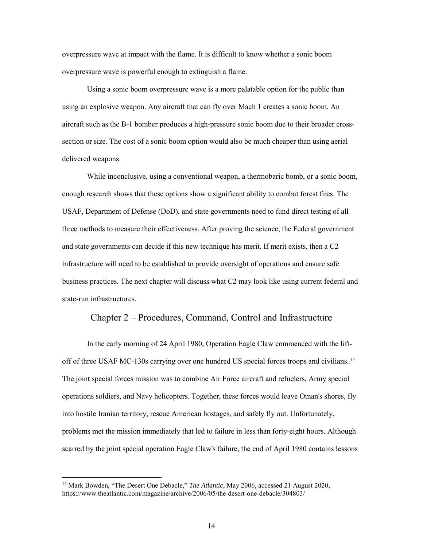overpressure wave at impact with the flame. It is difficult to know whether a sonic boom overpressure wave is powerful enough to extinguish a flame.

 Using a sonic boom overpressure wave is a more palatable option for the public than using an explosive weapon. Any aircraft that can fly over Mach 1 creates a sonic boom. An aircraft such as the B-1 bomber produces a high-pressure sonic boom due to their broader crosssection or size. The cost of a sonic boom option would also be much cheaper than using aerial delivered weapons.

While inconclusive, using a conventional weapon, a thermobaric bomb, or a sonic boom, enough research shows that these options show a significant ability to combat forest fires. The USAF, Department of Defense (DoD), and state governments need to fund direct testing of all three methods to measure their effectiveness. After proving the science, the Federal government and state governments can decide if this new technique has merit. If merit exists, then a C2 infrastructure will need to be established to provide oversight of operations and ensure safe business practices. The next chapter will discuss what C2 may look like using current federal and state-run infrastructures.

#### <span id="page-21-0"></span>Chapter 2 – Procedures, Command, Control and Infrastructure

In the early morning of 24 April 1980, Operation Eagle Claw commenced with the liftoff of three USAF MC-130s carrying over one hundred US special forces troops and civilians.<sup>15</sup> The joint special forces mission was to combine Air Force aircraft and refuelers, Army special operations soldiers, and Navy helicopters. Together, these forces would leave Oman's shores, fly into hostile Iranian territory, rescue American hostages, and safely fly out. Unfortunately, problems met the mission immediately that led to failure in less than forty-eight hours. Although scarred by the joint special operation Eagle Claw's failure, the end of April 1980 contains lessons

<sup>&</sup>lt;sup>15</sup> Mark Bowden, "The Desert One Debacle," *The Atlantic*, May 2006, accessed 21 August 2020, https://www.theatlantic.com/magazine/archive/2006/05/the-desert-one-debacle/304803/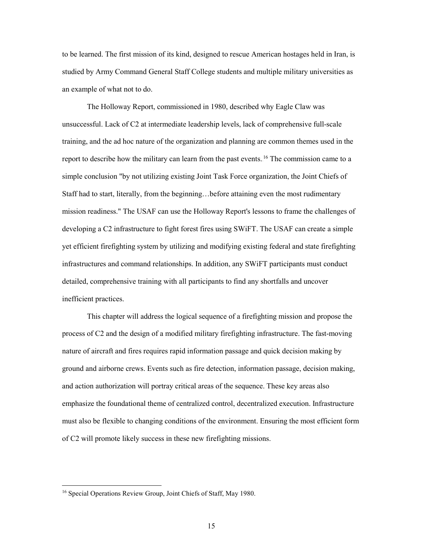to be learned. The first mission of its kind, designed to rescue American hostages held in Iran, is studied by Army Command General Staff College students and multiple military universities as an example of what not to do.

 The Holloway Report, commissioned in 1980, described why Eagle Claw was unsuccessful. Lack of C2 at intermediate leadership levels, lack of comprehensive full-scale training, and the ad hoc nature of the organization and planning are common themes used in the report to describe how the military can learn from the past events.<sup>16</sup> The commission came to a simple conclusion "by not utilizing existing Joint Task Force organization, the Joint Chiefs of Staff had to start, literally, from the beginning…before attaining even the most rudimentary mission readiness." The USAF can use the Holloway Report's lessons to frame the challenges of developing a C2 infrastructure to fight forest fires using SWiFT. The USAF can create a simple yet efficient firefighting system by utilizing and modifying existing federal and state firefighting infrastructures and command relationships. In addition, any SWiFT participants must conduct detailed, comprehensive training with all participants to find any shortfalls and uncover inefficient practices.

This chapter will address the logical sequence of a firefighting mission and propose the process of C2 and the design of a modified military firefighting infrastructure. The fast-moving nature of aircraft and fires requires rapid information passage and quick decision making by ground and airborne crews. Events such as fire detection, information passage, decision making, and action authorization will portray critical areas of the sequence. These key areas also emphasize the foundational theme of centralized control, decentralized execution. Infrastructure must also be flexible to changing conditions of the environment. Ensuring the most efficient form of C2 will promote likely success in these new firefighting missions.

<sup>&</sup>lt;sup>16</sup> Special Operations Review Group, Joint Chiefs of Staff, May 1980.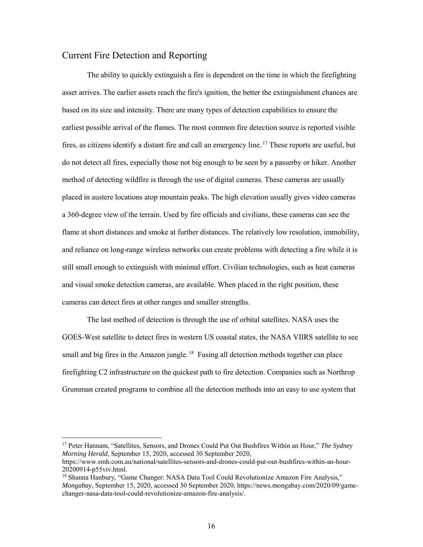### <span id="page-23-0"></span>Current Fire Detection and Reporting

The ability to quickly extinguish a fire is dependent on the time in which the firefighting asset arrives. The earlier assets reach the fire's ignition, the better the extinguishment chances are based on its size and intensity. There are many types of detection capabilities to ensure the earliest possible arrival of the flames. The most common fire detection source is reported visible fires, as citizens identify a distant fire and call an emergency line.<sup>17</sup> These reports are useful, but do not detect all fires, especially those not big enough to be seen by a passerby or hiker. Another method of detecting wildfire is through the use of digital cameras. These cameras are usually placed in austere locations atop mountain peaks. The high elevation usually gives video cameras a 360-degree view of the terrain. Used by fire officials and civilians, these cameras can see the flame at short distances and smoke at further distances. The relatively low resolution, immobility, and reliance on long-range wireless networks can create problems with detecting a fire while it is still small enough to extinguish with minimal effort. Civilian technologies, such as heat cameras and visual smoke detection cameras, are available. When placed in the right position, these cameras can detect fires at other ranges and smaller strengths.

The last method of detection is through the use of orbital satellites. NASA uses the GOES-West satellite to detect fires in western US coastal states, the NASA VIIRS satellite to see small and big fires in the Amazon jungle.<sup>18</sup> Fusing all detection methods together can place firefighting C2 infrastructure on the quickest path to fire detection. Companies such as Northrop Grumman created programs to combine all the detection methods into an easy to use system that

<sup>17</sup> Peter Hannam, "Satellites, Sensors, and Drones Could Put Out Bushfires Within an Hour," *The Sydney Morning Herald*, September 15, 2020, accessed 30 September 2020,

https://www.smh.com.au/national/satellites-sensors-and-drones-could-put-out-bushfires-within-an-hour-20200914-p55viv.html.

<sup>&</sup>lt;sup>18</sup> Shanna Hanbury, "Game Changer: NASA Data Tool Could Revolutionize Amazon Fire Analysis," *Mongabay*, September 15, 2020, accessed 30 September 2020, https://news.mongabay.com/2020/09/gamechanger-nasa-data-tool-could-revolutionize-amazon-fire-analysis/.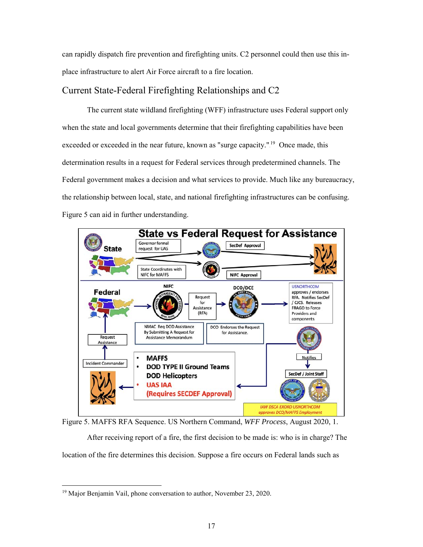can rapidly dispatch fire prevention and firefighting units. C2 personnel could then use this inplace infrastructure to alert Air Force aircraft to a fire location.

### <span id="page-24-0"></span>Current State-Federal Firefighting Relationships and C2

The current state wildland firefighting (WFF) infrastructure uses Federal support only when the state and local governments determine that their firefighting capabilities have been exceeded or exceeded in the near future, known as "surge capacity."<sup>19</sup> Once made, this determination results in a request for Federal services through predetermined channels. The Federal government makes a decision and what services to provide. Much like any bureaucracy, the relationship between local, state, and national firefighting infrastructures can be confusing. Figure 5 can aid in further understanding.



<span id="page-24-1"></span>Figure 5. MAFFS RFA Sequence. US Northern Command, *WFF Process*, August 2020, 1.

After receiving report of a fire, the first decision to be made is: who is in charge? The location of the fire determines this decision. Suppose a fire occurs on Federal lands such as

 $\overline{a}$ <sup>19</sup> Major Benjamin Vail, phone conversation to author, November 23, 2020.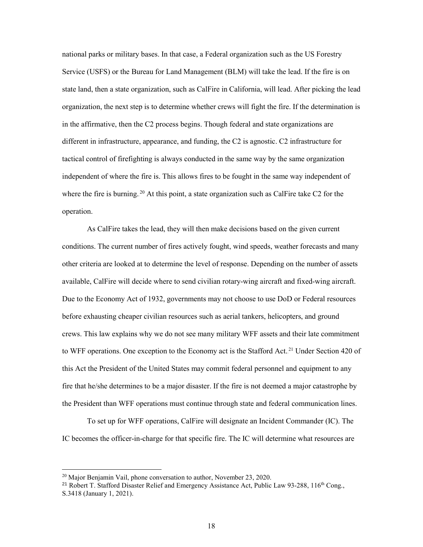national parks or military bases. In that case, a Federal organization such as the US Forestry Service (USFS) or the Bureau for Land Management (BLM) will take the lead. If the fire is on state land, then a state organization, such as CalFire in California, will lead. After picking the lead organization, the next step is to determine whether crews will fight the fire. If the determination is in the affirmative, then the C2 process begins. Though federal and state organizations are different in infrastructure, appearance, and funding, the C2 is agnostic. C2 infrastructure for tactical control of firefighting is always conducted in the same way by the same organization independent of where the fire is. This allows fires to be fought in the same way independent of where the fire is burning.<sup>20</sup> At this point, a state organization such as CalFire take C2 for the operation.

As CalFire takes the lead, they will then make decisions based on the given current conditions. The current number of fires actively fought, wind speeds, weather forecasts and many other criteria are looked at to determine the level of response. Depending on the number of assets available, CalFire will decide where to send civilian rotary-wing aircraft and fixed-wing aircraft. Due to the Economy Act of 1932, governments may not choose to use DoD or Federal resources before exhausting cheaper civilian resources such as aerial tankers, helicopters, and ground crews. This law explains why we do not see many military WFF assets and their late commitment to WFF operations. One exception to the Economy act is the Stafford Act.<sup>21</sup> Under Section 420 of this Act the President of the United States may commit federal personnel and equipment to any fire that he/she determines to be a major disaster. If the fire is not deemed a major catastrophe by the President than WFF operations must continue through state and federal communication lines.

 To set up for WFF operations, CalFire will designate an Incident Commander (IC). The IC becomes the officer-in-charge for that specific fire. The IC will determine what resources are

<sup>&</sup>lt;sup>20</sup> Major Benjamin Vail, phone conversation to author, November 23, 2020.

<sup>&</sup>lt;sup>21</sup> Robert T. Stafford Disaster Relief and Emergency Assistance Act, Public Law  $93-288$ ,  $116<sup>th</sup>$  Cong., S.3418 (January 1, 2021).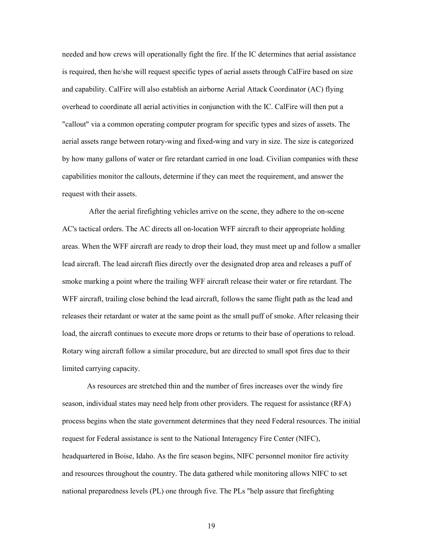needed and how crews will operationally fight the fire. If the IC determines that aerial assistance is required, then he/she will request specific types of aerial assets through CalFire based on size and capability. CalFire will also establish an airborne Aerial Attack Coordinator (AC) flying overhead to coordinate all aerial activities in conjunction with the IC. CalFire will then put a "callout" via a common operating computer program for specific types and sizes of assets. The aerial assets range between rotary-wing and fixed-wing and vary in size. The size is categorized by how many gallons of water or fire retardant carried in one load. Civilian companies with these capabilities monitor the callouts, determine if they can meet the requirement, and answer the request with their assets.

 After the aerial firefighting vehicles arrive on the scene, they adhere to the on-scene AC's tactical orders. The AC directs all on-location WFF aircraft to their appropriate holding areas. When the WFF aircraft are ready to drop their load, they must meet up and follow a smaller lead aircraft. The lead aircraft flies directly over the designated drop area and releases a puff of smoke marking a point where the trailing WFF aircraft release their water or fire retardant. The WFF aircraft, trailing close behind the lead aircraft, follows the same flight path as the lead and releases their retardant or water at the same point as the small puff of smoke. After releasing their load, the aircraft continues to execute more drops or returns to their base of operations to reload. Rotary wing aircraft follow a similar procedure, but are directed to small spot fires due to their limited carrying capacity.

As resources are stretched thin and the number of fires increases over the windy fire season, individual states may need help from other providers. The request for assistance (RFA) process begins when the state government determines that they need Federal resources. The initial request for Federal assistance is sent to the National Interagency Fire Center (NIFC), headquartered in Boise, Idaho. As the fire season begins, NIFC personnel monitor fire activity and resources throughout the country. The data gathered while monitoring allows NIFC to set national preparedness levels (PL) one through five. The PLs "help assure that firefighting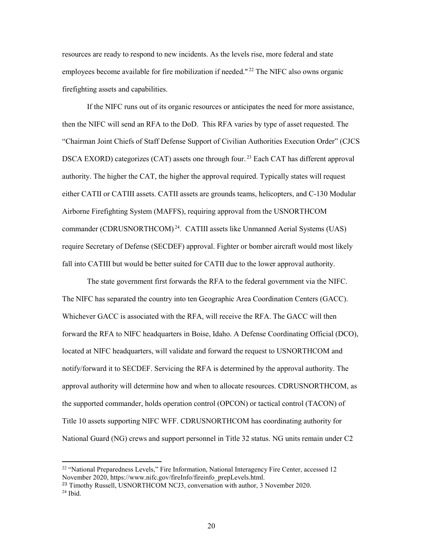resources are ready to respond to new incidents. As the levels rise, more federal and state employees become available for fire mobilization if needed."<sup>22</sup> The NIFC also owns organic firefighting assets and capabilities.

 If the NIFC runs out of its organic resources or anticipates the need for more assistance, then the NIFC will send an RFA to the DoD. This RFA varies by type of asset requested. The "Chairman Joint Chiefs of Staff Defense Support of Civilian Authorities Execution Order" (CJCS DSCA EXORD) categorizes (CAT) assets one through four.<sup>23</sup> Each CAT has different approval authority. The higher the CAT, the higher the approval required. Typically states will request either CATII or CATIII assets. CATII assets are grounds teams, helicopters, and C-130 Modular Airborne Firefighting System (MAFFS), requiring approval from the USNORTHCOM commander (CDRUSNORTHCOM).<sup>24</sup>. CATIII assets like Unmanned Aerial Systems (UAS) require Secretary of Defense (SECDEF) approval. Fighter or bomber aircraft would most likely fall into CATIII but would be better suited for CATII due to the lower approval authority.

The state government first forwards the RFA to the federal government via the NIFC. The NIFC has separated the country into ten Geographic Area Coordination Centers (GACC). Whichever GACC is associated with the RFA, will receive the RFA. The GACC will then forward the RFA to NIFC headquarters in Boise, Idaho. A Defense Coordinating Official (DCO), located at NIFC headquarters, will validate and forward the request to USNORTHCOM and notify/forward it to SECDEF. Servicing the RFA is determined by the approval authority. The approval authority will determine how and when to allocate resources. CDRUSNORTHCOM, as the supported commander, holds operation control (OPCON) or tactical control (TACON) of Title 10 assets supporting NIFC WFF. CDRUSNORTHCOM has coordinating authority for National Guard (NG) crews and support personnel in Title 32 status. NG units remain under C2

<sup>&</sup>lt;sup>22</sup> "National Preparedness Levels," Fire Information, National Interagency Fire Center, accessed 12 November 2020, https://www.nifc.gov/fireInfo/fireinfo\_prepLevels.html.

<sup>&</sup>lt;sup>23</sup> Timothy Russell, USNORTHCOM NCJ3, conversation with author, 3 November 2020.  $24$  Ibid.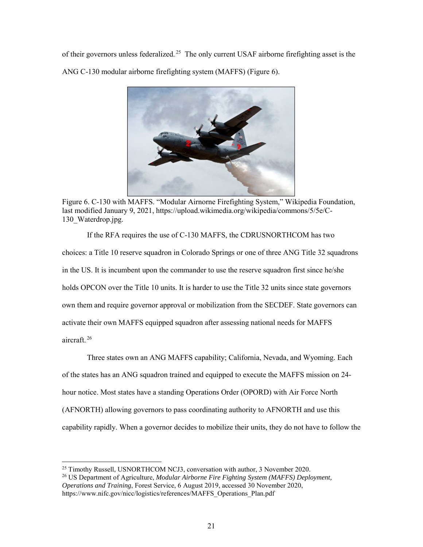of their governors unless federalized.<sup>25</sup> The only current USAF airborne firefighting asset is the ANG C-130 modular airborne firefighting system (MAFFS) (Figure 6).



Figure 6. C-130 with MAFFS. "Modular Airnorne Firefighting System," Wikipedia Foundation, last modified January 9, 2021, https://upload.wikimedia.org/wikipedia/commons/5/5e/C-130 Waterdrop.jpg.

<span id="page-28-0"></span> If the RFA requires the use of C-130 MAFFS, the CDRUSNORTHCOM has two choices: a Title 10 reserve squadron in Colorado Springs or one of three ANG Title 32 squadrons in the US. It is incumbent upon the commander to use the reserve squadron first since he/she holds OPCON over the Title 10 units. It is harder to use the Title 32 units since state governors own them and require governor approval or mobilization from the SECDEF. State governors can activate their own MAFFS equipped squadron after assessing national needs for MAFFS aircraft.<sup>26</sup>

Three states own an ANG MAFFS capability; California, Nevada, and Wyoming. Each of the states has an ANG squadron trained and equipped to execute the MAFFS mission on 24 hour notice. Most states have a standing Operations Order (OPORD) with Air Force North (AFNORTH) allowing governors to pass coordinating authority to AFNORTH and use this capability rapidly. When a governor decides to mobilize their units, they do not have to follow the

 $^{25}$  Timothy Russell, USNORTHCOM NCJ3, conversation with author, 3 November 2020.

<sup>26</sup> US Department of Agriculture, *Modular Airborne Fire Fighting System (MAFFS) Deployment, Operations and Training*, Forest Service, 6 August 2019, accessed 30 November 2020, https://www.nifc.gov/nicc/logistics/references/MAFFS\_Operations\_Plan.pdf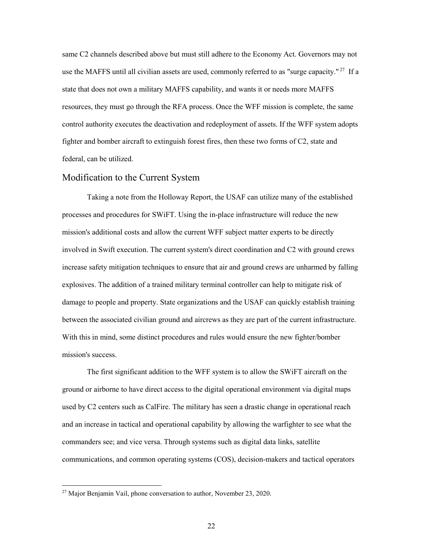same C2 channels described above but must still adhere to the Economy Act. Governors may not use the MAFFS until all civilian assets are used, commonly referred to as "surge capacity."<sup>27</sup> If a state that does not own a military MAFFS capability, and wants it or needs more MAFFS resources, they must go through the RFA process. Once the WFF mission is complete, the same control authority executes the deactivation and redeployment of assets. If the WFF system adopts fighter and bomber aircraft to extinguish forest fires, then these two forms of C2, state and federal, can be utilized.

#### <span id="page-29-0"></span>Modification to the Current System

Taking a note from the Holloway Report, the USAF can utilize many of the established processes and procedures for SWiFT. Using the in-place infrastructure will reduce the new mission's additional costs and allow the current WFF subject matter experts to be directly involved in Swift execution. The current system's direct coordination and C2 with ground crews increase safety mitigation techniques to ensure that air and ground crews are unharmed by falling explosives. The addition of a trained military terminal controller can help to mitigate risk of damage to people and property. State organizations and the USAF can quickly establish training between the associated civilian ground and aircrews as they are part of the current infrastructure. With this in mind, some distinct procedures and rules would ensure the new fighter/bomber mission's success.

The first significant addition to the WFF system is to allow the SWiFT aircraft on the ground or airborne to have direct access to the digital operational environment via digital maps used by C2 centers such as CalFire. The military has seen a drastic change in operational reach and an increase in tactical and operational capability by allowing the warfighter to see what the commanders see; and vice versa. Through systems such as digital data links, satellite communications, and common operating systems (COS), decision-makers and tactical operators

<sup>&</sup>lt;sup>27</sup> Major Benjamin Vail, phone conversation to author, November 23, 2020.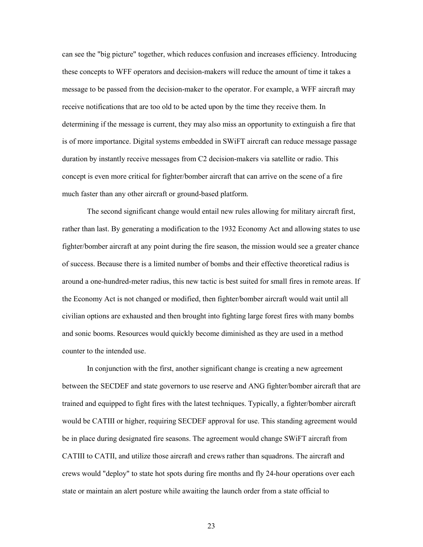can see the "big picture" together, which reduces confusion and increases efficiency. Introducing these concepts to WFF operators and decision-makers will reduce the amount of time it takes a message to be passed from the decision-maker to the operator. For example, a WFF aircraft may receive notifications that are too old to be acted upon by the time they receive them. In determining if the message is current, they may also miss an opportunity to extinguish a fire that is of more importance. Digital systems embedded in SWiFT aircraft can reduce message passage duration by instantly receive messages from C2 decision-makers via satellite or radio. This concept is even more critical for fighter/bomber aircraft that can arrive on the scene of a fire much faster than any other aircraft or ground-based platform.

The second significant change would entail new rules allowing for military aircraft first, rather than last. By generating a modification to the 1932 Economy Act and allowing states to use fighter/bomber aircraft at any point during the fire season, the mission would see a greater chance of success. Because there is a limited number of bombs and their effective theoretical radius is around a one-hundred-meter radius, this new tactic is best suited for small fires in remote areas. If the Economy Act is not changed or modified, then fighter/bomber aircraft would wait until all civilian options are exhausted and then brought into fighting large forest fires with many bombs and sonic booms. Resources would quickly become diminished as they are used in a method counter to the intended use.

In conjunction with the first, another significant change is creating a new agreement between the SECDEF and state governors to use reserve and ANG fighter/bomber aircraft that are trained and equipped to fight fires with the latest techniques. Typically, a fighter/bomber aircraft would be CATIII or higher, requiring SECDEF approval for use. This standing agreement would be in place during designated fire seasons. The agreement would change SWiFT aircraft from CATIII to CATII, and utilize those aircraft and crews rather than squadrons. The aircraft and crews would "deploy" to state hot spots during fire months and fly 24-hour operations over each state or maintain an alert posture while awaiting the launch order from a state official to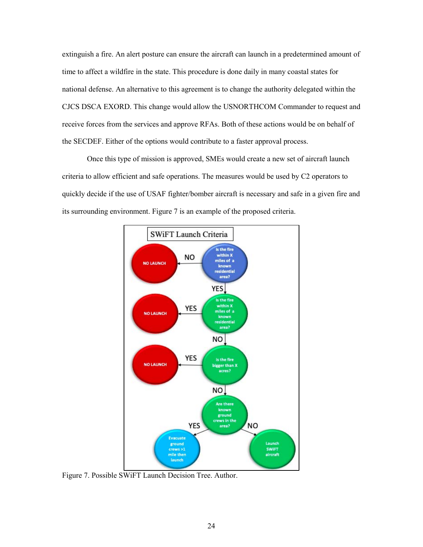extinguish a fire. An alert posture can ensure the aircraft can launch in a predetermined amount of time to affect a wildfire in the state. This procedure is done daily in many coastal states for national defense. An alternative to this agreement is to change the authority delegated within the CJCS DSCA EXORD. This change would allow the USNORTHCOM Commander to request and receive forces from the services and approve RFAs. Both of these actions would be on behalf of the SECDEF. Either of the options would contribute to a faster approval process.

Once this type of mission is approved, SMEs would create a new set of aircraft launch criteria to allow efficient and safe operations. The measures would be used by C2 operators to quickly decide if the use of USAF fighter/bomber aircraft is necessary and safe in a given fire and its surrounding environment. Figure 7 is an example of the proposed criteria.



<span id="page-31-0"></span>Figure 7. Possible SWiFT Launch Decision Tree. Author.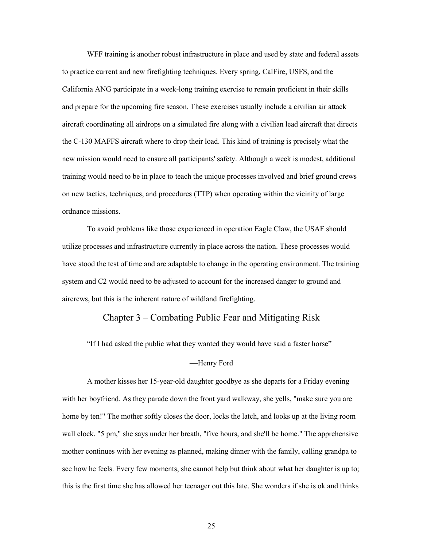WFF training is another robust infrastructure in place and used by state and federal assets to practice current and new firefighting techniques. Every spring, CalFire, USFS, and the California ANG participate in a week-long training exercise to remain proficient in their skills and prepare for the upcoming fire season. These exercises usually include a civilian air attack aircraft coordinating all airdrops on a simulated fire along with a civilian lead aircraft that directs the C-130 MAFFS aircraft where to drop their load. This kind of training is precisely what the new mission would need to ensure all participants' safety. Although a week is modest, additional training would need to be in place to teach the unique processes involved and brief ground crews on new tactics, techniques, and procedures (TTP) when operating within the vicinity of large ordnance missions.

 To avoid problems like those experienced in operation Eagle Claw, the USAF should utilize processes and infrastructure currently in place across the nation. These processes would have stood the test of time and are adaptable to change in the operating environment. The training system and C2 would need to be adjusted to account for the increased danger to ground and aircrews, but this is the inherent nature of wildland firefighting.

#### Chapter 3 – Combating Public Fear and Mitigating Risk

<span id="page-32-0"></span>"If I had asked the public what they wanted they would have said a faster horse"

#### —Henry Ford

A mother kisses her 15-year-old daughter goodbye as she departs for a Friday evening with her boyfriend. As they parade down the front yard walkway, she yells, "make sure you are home by ten!" The mother softly closes the door, locks the latch, and looks up at the living room wall clock. "5 pm," she says under her breath, "five hours, and she'll be home." The apprehensive mother continues with her evening as planned, making dinner with the family, calling grandpa to see how he feels. Every few moments, she cannot help but think about what her daughter is up to; this is the first time she has allowed her teenager out this late. She wonders if she is ok and thinks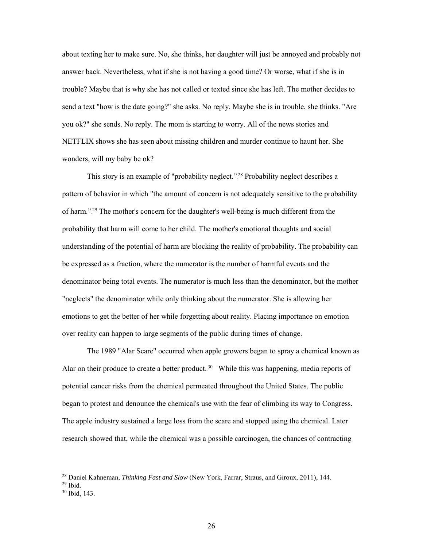about texting her to make sure. No, she thinks, her daughter will just be annoyed and probably not answer back. Nevertheless, what if she is not having a good time? Or worse, what if she is in trouble? Maybe that is why she has not called or texted since she has left. The mother decides to send a text "how is the date going?" she asks. No reply. Maybe she is in trouble, she thinks. "Are you ok?" she sends. No reply. The mom is starting to worry. All of the news stories and NETFLIX shows she has seen about missing children and murder continue to haunt her. She wonders, will my baby be ok?

This story is an example of "probability neglect."<sup>28</sup> Probability neglect describes a pattern of behavior in which "the amount of concern is not adequately sensitive to the probability of harm."<sup>29</sup> The mother's concern for the daughter's well-being is much different from the probability that harm will come to her child. The mother's emotional thoughts and social understanding of the potential of harm are blocking the reality of probability. The probability can be expressed as a fraction, where the numerator is the number of harmful events and the denominator being total events. The numerator is much less than the denominator, but the mother "neglects" the denominator while only thinking about the numerator. She is allowing her emotions to get the better of her while forgetting about reality. Placing importance on emotion over reality can happen to large segments of the public during times of change.

 The 1989 "Alar Scare" occurred when apple growers began to spray a chemical known as Alar on their produce to create a better product.<sup>30</sup> While this was happening, media reports of potential cancer risks from the chemical permeated throughout the United States. The public began to protest and denounce the chemical's use with the fear of climbing its way to Congress. The apple industry sustained a large loss from the scare and stopped using the chemical. Later research showed that, while the chemical was a possible carcinogen, the chances of contracting

<sup>28</sup> Daniel Kahneman, *Thinking Fast and Slow* (New York, Farrar, Straus, and Giroux, 2011), 144.

 $29$  Ibid.

<sup>30</sup> Ibid, 143.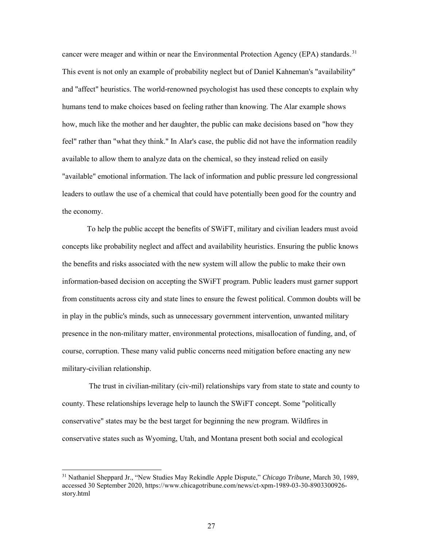cancer were meager and within or near the Environmental Protection Agency (EPA) standards.<sup>31</sup> This event is not only an example of probability neglect but of Daniel Kahneman's "availability" and "affect" heuristics. The world-renowned psychologist has used these concepts to explain why humans tend to make choices based on feeling rather than knowing. The Alar example shows how, much like the mother and her daughter, the public can make decisions based on "how they feel" rather than "what they think." In Alar's case, the public did not have the information readily available to allow them to analyze data on the chemical, so they instead relied on easily "available" emotional information. The lack of information and public pressure led congressional leaders to outlaw the use of a chemical that could have potentially been good for the country and the economy.

 To help the public accept the benefits of SWiFT, military and civilian leaders must avoid concepts like probability neglect and affect and availability heuristics. Ensuring the public knows the benefits and risks associated with the new system will allow the public to make their own information-based decision on accepting the SWiFT program. Public leaders must garner support from constituents across city and state lines to ensure the fewest political. Common doubts will be in play in the public's minds, such as unnecessary government intervention, unwanted military presence in the non-military matter, environmental protections, misallocation of funding, and, of course, corruption. These many valid public concerns need mitigation before enacting any new military-civilian relationship.

 The trust in civilian-military (civ-mil) relationships vary from state to state and county to county. These relationships leverage help to launch the SWiFT concept. Some "politically conservative" states may be the best target for beginning the new program. Wildfires in conservative states such as Wyoming, Utah, and Montana present both social and ecological

<sup>31</sup> Nathaniel Sheppard Jr., "New Studies May Rekindle Apple Dispute," *Chicago Tribune*, March 30, 1989, accessed 30 September 2020, https://www.chicagotribune.com/news/ct-xpm-1989-03-30-8903300926 story.html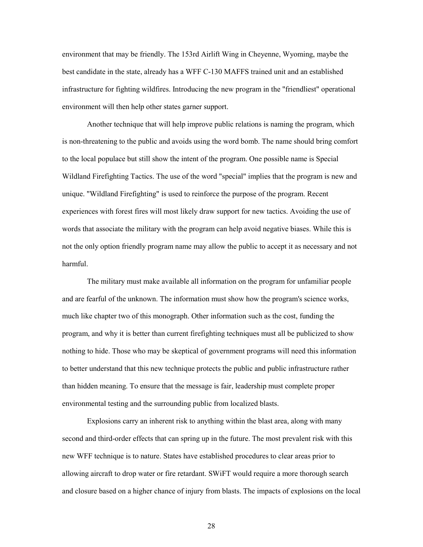environment that may be friendly. The 153rd Airlift Wing in Cheyenne, Wyoming, maybe the best candidate in the state, already has a WFF C-130 MAFFS trained unit and an established infrastructure for fighting wildfires. Introducing the new program in the "friendliest" operational environment will then help other states garner support.

 Another technique that will help improve public relations is naming the program, which is non-threatening to the public and avoids using the word bomb. The name should bring comfort to the local populace but still show the intent of the program. One possible name is Special Wildland Firefighting Tactics. The use of the word "special" implies that the program is new and unique. "Wildland Firefighting" is used to reinforce the purpose of the program. Recent experiences with forest fires will most likely draw support for new tactics. Avoiding the use of words that associate the military with the program can help avoid negative biases. While this is not the only option friendly program name may allow the public to accept it as necessary and not harmful.

 The military must make available all information on the program for unfamiliar people and are fearful of the unknown. The information must show how the program's science works, much like chapter two of this monograph. Other information such as the cost, funding the program, and why it is better than current firefighting techniques must all be publicized to show nothing to hide. Those who may be skeptical of government programs will need this information to better understand that this new technique protects the public and public infrastructure rather than hidden meaning. To ensure that the message is fair, leadership must complete proper environmental testing and the surrounding public from localized blasts.

 Explosions carry an inherent risk to anything within the blast area, along with many second and third-order effects that can spring up in the future. The most prevalent risk with this new WFF technique is to nature. States have established procedures to clear areas prior to allowing aircraft to drop water or fire retardant. SWiFT would require a more thorough search and closure based on a higher chance of injury from blasts. The impacts of explosions on the local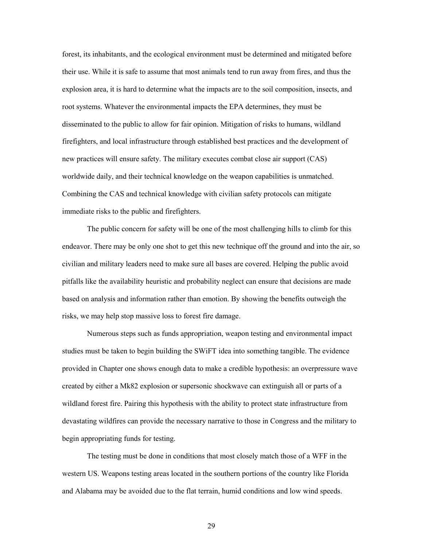forest, its inhabitants, and the ecological environment must be determined and mitigated before their use. While it is safe to assume that most animals tend to run away from fires, and thus the explosion area, it is hard to determine what the impacts are to the soil composition, insects, and root systems. Whatever the environmental impacts the EPA determines, they must be disseminated to the public to allow for fair opinion. Mitigation of risks to humans, wildland firefighters, and local infrastructure through established best practices and the development of new practices will ensure safety. The military executes combat close air support (CAS) worldwide daily, and their technical knowledge on the weapon capabilities is unmatched. Combining the CAS and technical knowledge with civilian safety protocols can mitigate immediate risks to the public and firefighters.

 The public concern for safety will be one of the most challenging hills to climb for this endeavor. There may be only one shot to get this new technique off the ground and into the air, so civilian and military leaders need to make sure all bases are covered. Helping the public avoid pitfalls like the availability heuristic and probability neglect can ensure that decisions are made based on analysis and information rather than emotion. By showing the benefits outweigh the risks, we may help stop massive loss to forest fire damage.

Numerous steps such as funds appropriation, weapon testing and environmental impact studies must be taken to begin building the SWiFT idea into something tangible. The evidence provided in Chapter one shows enough data to make a credible hypothesis: an overpressure wave created by either a Mk82 explosion or supersonic shockwave can extinguish all or parts of a wildland forest fire. Pairing this hypothesis with the ability to protect state infrastructure from devastating wildfires can provide the necessary narrative to those in Congress and the military to begin appropriating funds for testing.

 The testing must be done in conditions that most closely match those of a WFF in the western US. Weapons testing areas located in the southern portions of the country like Florida and Alabama may be avoided due to the flat terrain, humid conditions and low wind speeds.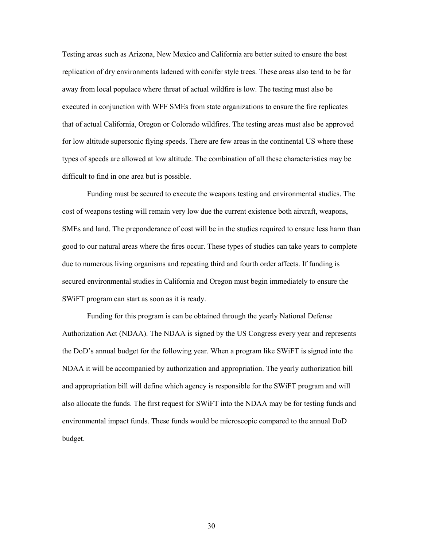Testing areas such as Arizona, New Mexico and California are better suited to ensure the best replication of dry environments ladened with conifer style trees. These areas also tend to be far away from local populace where threat of actual wildfire is low. The testing must also be executed in conjunction with WFF SMEs from state organizations to ensure the fire replicates that of actual California, Oregon or Colorado wildfires. The testing areas must also be approved for low altitude supersonic flying speeds. There are few areas in the continental US where these types of speeds are allowed at low altitude. The combination of all these characteristics may be difficult to find in one area but is possible.

 Funding must be secured to execute the weapons testing and environmental studies. The cost of weapons testing will remain very low due the current existence both aircraft, weapons, SMEs and land. The preponderance of cost will be in the studies required to ensure less harm than good to our natural areas where the fires occur. These types of studies can take years to complete due to numerous living organisms and repeating third and fourth order affects. If funding is secured environmental studies in California and Oregon must begin immediately to ensure the SWiFT program can start as soon as it is ready.

Funding for this program is can be obtained through the yearly National Defense Authorization Act (NDAA). The NDAA is signed by the US Congress every year and represents the DoD's annual budget for the following year. When a program like SWiFT is signed into the NDAA it will be accompanied by authorization and appropriation. The yearly authorization bill and appropriation bill will define which agency is responsible for the SWiFT program and will also allocate the funds. The first request for SWiFT into the NDAA may be for testing funds and environmental impact funds. These funds would be microscopic compared to the annual DoD budget.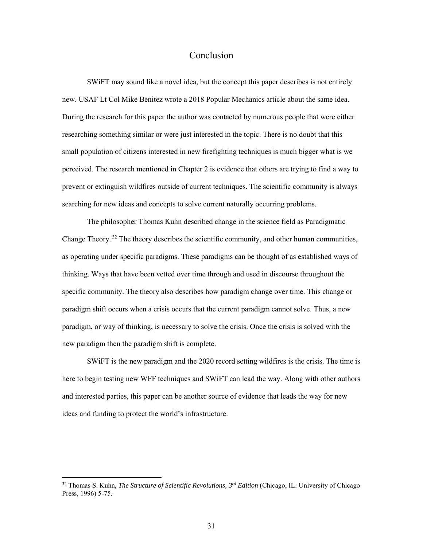#### Conclusion

<span id="page-38-0"></span> SWiFT may sound like a novel idea, but the concept this paper describes is not entirely new. USAF Lt Col Mike Benitez wrote a 2018 Popular Mechanics article about the same idea. During the research for this paper the author was contacted by numerous people that were either researching something similar or were just interested in the topic. There is no doubt that this small population of citizens interested in new firefighting techniques is much bigger what is we perceived. The research mentioned in Chapter 2 is evidence that others are trying to find a way to prevent or extinguish wildfires outside of current techniques. The scientific community is always searching for new ideas and concepts to solve current naturally occurring problems.

The philosopher Thomas Kuhn described change in the science field as Paradigmatic Change Theory.<sup>32</sup> The theory describes the scientific community, and other human communities, as operating under specific paradigms. These paradigms can be thought of as established ways of thinking. Ways that have been vetted over time through and used in discourse throughout the specific community. The theory also describes how paradigm change over time. This change or paradigm shift occurs when a crisis occurs that the current paradigm cannot solve. Thus, a new paradigm, or way of thinking, is necessary to solve the crisis. Once the crisis is solved with the new paradigm then the paradigm shift is complete.

SWiFT is the new paradigm and the 2020 record setting wildfires is the crisis. The time is here to begin testing new WFF techniques and SWiFT can lead the way. Along with other authors and interested parties, this paper can be another source of evidence that leads the way for new ideas and funding to protect the world's infrastructure.

<sup>32</sup> Thomas S. Kuhn, *The Structure of Scientific Revolutions, 3rd Edition* (Chicago, IL: University of Chicago Press, 1996) 5-75.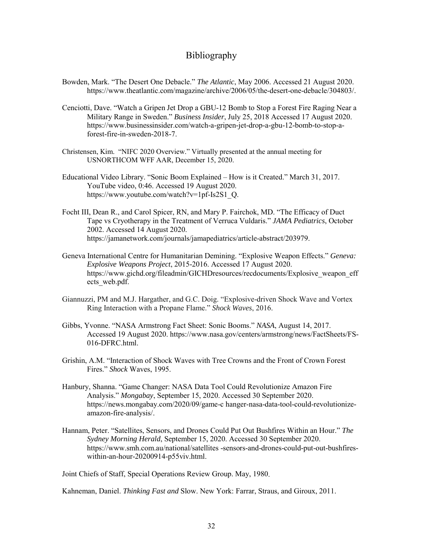### Bibliography

- <span id="page-39-0"></span>Bowden, Mark. "The Desert One Debacle." *The Atlantic*, May 2006. Accessed 21 August 2020. https://www.theatlantic.com/magazine/archive/2006/05/the-desert-one-debacle/304803/.
- Cenciotti, Dave. "Watch a Gripen Jet Drop a GBU-12 Bomb to Stop a Forest Fire Raging Near a Military Range in Sweden." *Business Insider*, July 25, 2018 Accessed 17 August 2020. https://www.businessinsider.com/watch-a-gripen-jet-drop-a-gbu-12-bomb-to-stop-aforest-fire-in-sweden-2018-7.
- Christensen, Kim. "NIFC 2020 Overview." Virtually presented at the annual meeting for USNORTHCOM WFF AAR, December 15, 2020.
- Educational Video Library. "Sonic Boom Explained How is it Created." March 31, 2017. YouTube video, 0:46. Accessed 19 August 2020. https://www.youtube.com/watch?v=1pf-Is2S1\_Q.
- Focht III, Dean R., and Carol Spicer, RN, and Mary P. Fairchok, MD. "The Efficacy of Duct Tape vs Cryotherapy in the Treatment of Verruca Vuldaris." *JAMA Pediatrics*, October 2002. Accessed 14 August 2020. https://jamanetwork.com/journals/jamapediatrics/article-abstract/203979.
- Geneva International Centre for Humanitarian Demining. "Explosive Weapon Effects." *Geneva: Explosive Weapons Project*, 2015-2016. Accessed 17 August 2020. [https://www.gichd.org/fileadmin/GICHDresources/](https://www.gichd.org/fileadmin/GICHDresources)recdocuments/Explosive\_weapon\_eff ects\_web.pdf.
- Giannuzzi, PM and M.J. Hargather, and G.C. Doig. "Explosive-driven Shock Wave and Vortex Ring Interaction with a Propane Flame." *Shock Waves*, 2016.
- Gibbs, Yvonne. "NASA Armstrong Fact Sheet: Sonic Booms." *NASA*, August 14, 2017. Accessed 19 August 2020.<https://www.nasa.gov/centers/armstrong/news/FactSheets/FS-> 016-DFRC.html.
- Grishin, A.M. "Interaction of Shock Waves with Tree Crowns and the Front of Crown Forest Fires." *Shock* Waves, 1995.
- Hanbury, Shanna. "Game Changer: NASA Data Tool Could Revolutionize Amazon Fire Analysis." *Mongabay*, September 15, 2020. Accessed 30 September 2020. <https://news.mongabay.com/2020/09/game-c>hanger-nasa-data-tool-could-revolutionizeamazon-fire-analysis/.
- Hannam, Peter. "Satellites, Sensors, and Drones Could Put Out Bushfires Within an Hour." *The Sydney Morning Herald*, September 15, 2020. Accessed 30 September 2020. https://www.smh.com.au/national/satellites -sensors-and-drones-could-put-out-bushfireswithin-an-hour-20200914-p55viv.html.

Joint Chiefs of Staff, Special Operations Review Group. May, 1980.

Kahneman, Daniel. *Thinking Fast and* Slow. New York: Farrar, Straus, and Giroux, 2011.